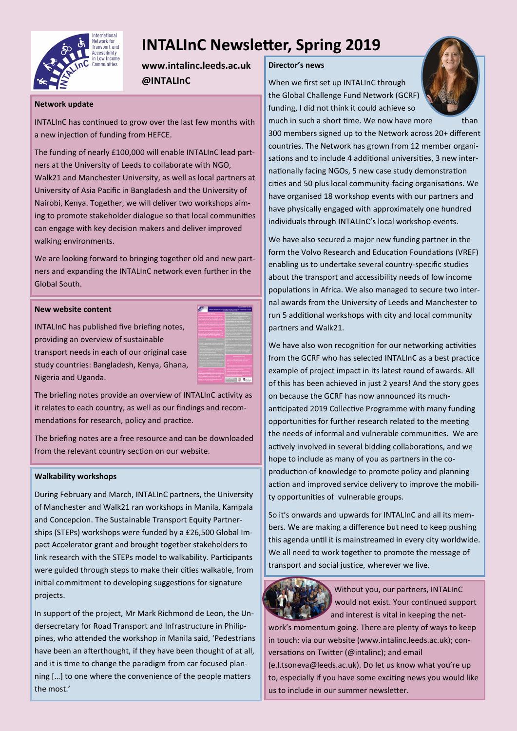

# **INTALInC Newsletter, Spring 2019**

**www.intalinc.leeds.ac.uk @INTALInC**

### **Network update**

INTALInC has continued to grow over the last few months with a new injection of funding from HEFCE.

The funding of nearly £100,000 will enable INTALInC lead partners at the University of Leeds to collaborate with NGO, Walk21 and Manchester University, as well as local partners at University of Asia Pacific in Bangladesh and the University of Nairobi, Kenya. Together, we will deliver two workshops aiming to promote stakeholder dialogue so that local communities can engage with key decision makers and deliver improved walking environments.

We are looking forward to bringing together old and new partners and expanding the INTALInC network even further in the Global South.

### **New website content**

INTALInC has published five briefing notes, providing an overview of sustainable transport needs in each of our original case study countries: Bangladesh, Kenya, Ghana, Nigeria and Uganda.



The briefing notes provide an overview of INTALInC activity as it relates to each country, as well as our findings and recommendations for research, policy and practice.

The briefing notes are a free resource and can be downloaded from the relevant country section on our website.

#### **Walkability workshops**

During February and March, INTALInC partners, the University of Manchester and Walk21 ran workshops in Manila, Kampala and Concepcion. The Sustainable Transport Equity Partnerships (STEPs) workshops were funded by a £26,500 Global Impact Accelerator grant and brought together stakeholders to link research with the STEPs model to walkability. Participants were guided through steps to make their cities walkable, from initial commitment to developing suggestions for signature projects.

In support of the project, Mr Mark Richmond de Leon, the Undersecretary for Road Transport and Infrastructure in Philippines, who attended the workshop in Manila said, 'Pedestrians have been an afterthought, if they have been thought of at all, and it is time to change the paradigm from car focused planning […] to one where the convenience of the people matters the most.'

## **Director's news**

When we first set up INTALInC through the Global Challenge Fund Network (GCRF) funding, I did not think it could achieve so



much in such a short time. We now have more than 300 members signed up to the Network across 20+ different countries. The Network has grown from 12 member organisations and to include 4 additional universities, 3 new internationally facing NGOs, 5 new case study demonstration cities and 50 plus local community-facing organisations. We have organised 18 workshop events with our partners and have physically engaged with approximately one hundred individuals through INTALInC's local workshop events.

We have also secured a major new funding partner in the form the Volvo Research and Education Foundations (VREF) enabling us to undertake several country-specific studies about the transport and accessibility needs of low income populations in Africa. We also managed to secure two internal awards from the University of Leeds and Manchester to run 5 additional workshops with city and local community partners and Walk21.

We have also won recognition for our networking activities from the GCRF who has selected INTALInC as a best practice example of project impact in its latest round of awards. All of this has been achieved in just 2 years! And the story goes on because the GCRF has now announced its muchanticipated 2019 Collective Programme with many funding opportunities for further research related to the meeting the needs of informal and vulnerable communities. We are actively involved in several bidding collaborations, and we hope to include as many of you as partners in the coproduction of knowledge to promote policy and planning action and improved service delivery to improve the mobility opportunities of vulnerable groups.

So it's onwards and upwards for INTALInC and all its members. We are making a difference but need to keep pushing this agenda until it is mainstreamed in every city worldwide. We all need to work together to promote the message of transport and social justice, wherever we live.



Without you, our partners, INTALInC would not exist. Your continued support and interest is vital in keeping the net-

work's momentum going. There are plenty of ways to keep in touch: via our website (www.intalinc.leeds.ac.uk); conversations on Twitter (@intalinc); and email (e.l.tsoneva@leeds.ac.uk). Do let us know what you're up to, especially if you have some exciting news you would like us to include in our summer newsletter.